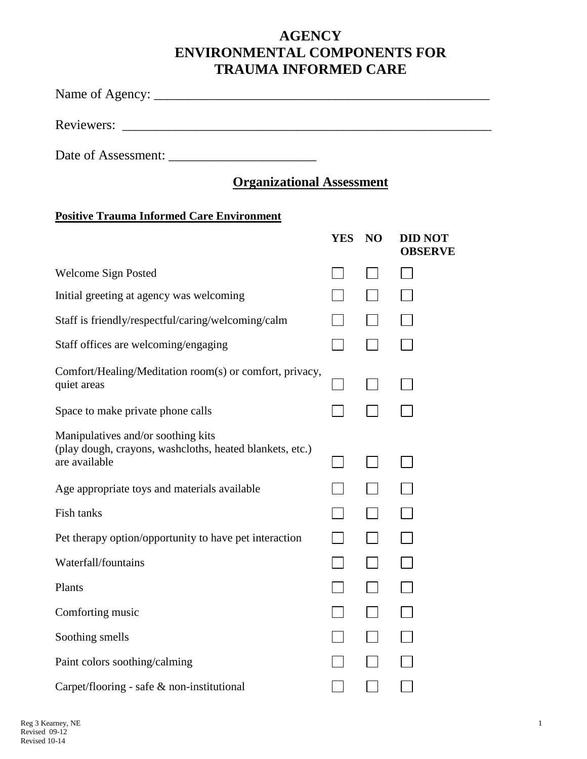## **AGENCY ENVIRONMENTAL COMPONENTS FOR TRAUMA INFORMED CARE**

Name of Agency: \_\_\_\_\_\_\_\_\_\_\_\_\_\_\_\_\_\_\_\_\_\_\_\_\_\_\_\_\_\_\_\_\_\_\_\_\_\_\_\_\_\_\_\_\_\_\_\_\_\_

Reviewers: \_\_\_\_\_\_\_\_\_\_\_\_\_\_\_\_\_\_\_\_\_\_\_\_\_\_\_\_\_\_\_\_\_\_\_\_\_\_\_\_\_\_\_\_\_\_\_\_\_\_\_\_\_\_\_

Date of Assessment:

## **Organizational Assessment**

## **Positive Trauma Informed Care Environment**

|                                                                                                                 | <b>YES</b> | N <sub>O</sub> | <b>DID NOT</b><br><b>OBSERVE</b> |
|-----------------------------------------------------------------------------------------------------------------|------------|----------------|----------------------------------|
| <b>Welcome Sign Posted</b>                                                                                      |            |                |                                  |
| Initial greeting at agency was welcoming                                                                        |            |                |                                  |
| Staff is friendly/respectful/caring/welcoming/calm                                                              |            |                |                                  |
| Staff offices are welcoming/engaging                                                                            |            |                |                                  |
| Comfort/Healing/Meditation room(s) or comfort, privacy,<br>quiet areas                                          |            |                |                                  |
| Space to make private phone calls                                                                               |            |                |                                  |
| Manipulatives and/or soothing kits<br>(play dough, crayons, washcloths, heated blankets, etc.)<br>are available |            |                |                                  |
| Age appropriate toys and materials available                                                                    |            |                |                                  |
| Fish tanks                                                                                                      |            |                |                                  |
| Pet therapy option/opportunity to have pet interaction                                                          |            |                |                                  |
| Waterfall/fountains                                                                                             |            |                |                                  |
| Plants                                                                                                          |            |                |                                  |
| Comforting music                                                                                                |            |                |                                  |
| Soothing smells                                                                                                 |            |                |                                  |
| Paint colors soothing/calming                                                                                   |            |                |                                  |
| Carpet/flooring - safe & non-institutional                                                                      |            |                |                                  |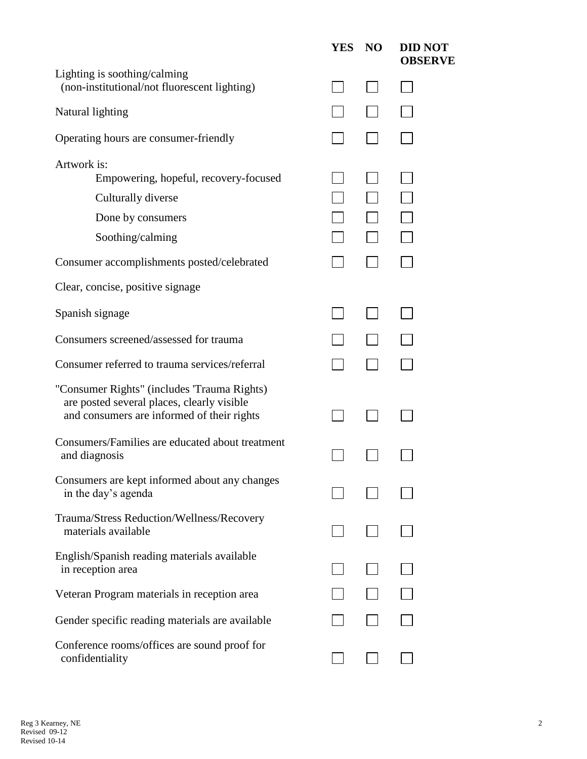|                                                                                                                                         | <b>YES</b> | N <sub>O</sub> | <b>DID NOT</b><br><b>OBSERVE</b> |
|-----------------------------------------------------------------------------------------------------------------------------------------|------------|----------------|----------------------------------|
| Lighting is soothing/calming<br>(non-institutional/not fluorescent lighting)                                                            |            |                |                                  |
| Natural lighting                                                                                                                        |            |                |                                  |
| Operating hours are consumer-friendly                                                                                                   |            |                |                                  |
| Artwork is:<br>Empowering, hopeful, recovery-focused                                                                                    |            |                |                                  |
| Culturally diverse                                                                                                                      |            |                |                                  |
| Done by consumers                                                                                                                       |            |                |                                  |
| Soothing/calming                                                                                                                        |            |                |                                  |
| Consumer accomplishments posted/celebrated                                                                                              |            |                |                                  |
| Clear, concise, positive signage                                                                                                        |            |                |                                  |
| Spanish signage                                                                                                                         |            |                |                                  |
| Consumers screened/assessed for trauma                                                                                                  |            |                |                                  |
| Consumer referred to trauma services/referral                                                                                           |            |                |                                  |
| "Consumer Rights" (includes 'Trauma Rights)<br>are posted several places, clearly visible<br>and consumers are informed of their rights |            |                |                                  |
| Consumers/Families are educated about treatment<br>and diagnosis                                                                        |            |                |                                  |
| Consumers are kept informed about any changes<br>in the day's agenda                                                                    |            |                |                                  |
| Trauma/Stress Reduction/Wellness/Recovery<br>materials available                                                                        |            |                |                                  |
| English/Spanish reading materials available<br>in reception area                                                                        |            |                |                                  |
| Veteran Program materials in reception area                                                                                             |            |                |                                  |
| Gender specific reading materials are available                                                                                         |            |                |                                  |
| Conference rooms/offices are sound proof for<br>confidentiality                                                                         |            |                |                                  |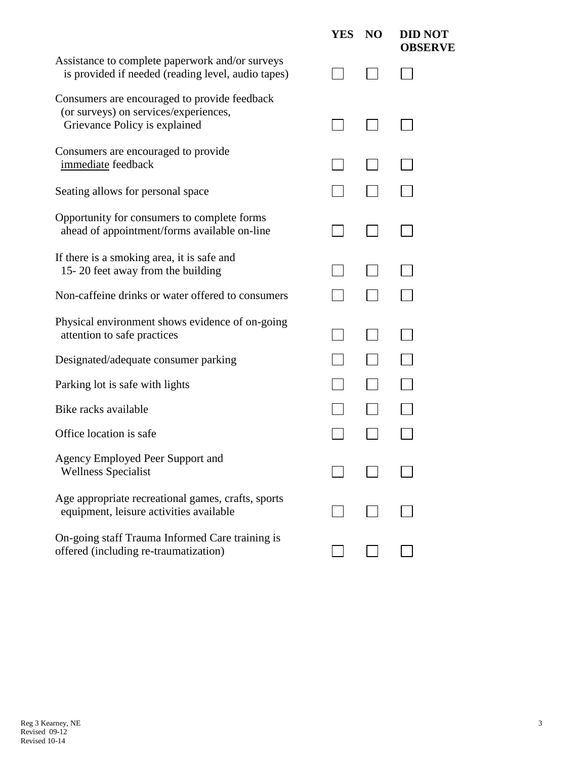|                                                                                                                        | <b>YES</b> | N <sub>O</sub> | <b>DID NOT</b><br><b>OBSERVE</b> |
|------------------------------------------------------------------------------------------------------------------------|------------|----------------|----------------------------------|
| Assistance to complete paperwork and/or surveys<br>is provided if needed (reading level, audio tapes)                  |            |                |                                  |
| Consumers are encouraged to provide feedback<br>(or surveys) on services/experiences,<br>Grievance Policy is explained |            |                |                                  |
| Consumers are encouraged to provide<br>immediate feedback                                                              |            |                |                                  |
| Seating allows for personal space                                                                                      |            |                |                                  |
| Opportunity for consumers to complete forms<br>ahead of appointment/forms available on-line                            |            |                |                                  |
| If there is a smoking area, it is safe and<br>15-20 feet away from the building                                        |            |                |                                  |
| Non-caffeine drinks or water offered to consumers                                                                      |            |                |                                  |
| Physical environment shows evidence of on-going<br>attention to safe practices                                         |            |                |                                  |
| Designated/adequate consumer parking                                                                                   |            |                |                                  |
| Parking lot is safe with lights                                                                                        |            |                |                                  |
| Bike racks available                                                                                                   |            |                |                                  |
| Office location is safe                                                                                                |            |                |                                  |
| Agency Employed Peer Support and<br><b>Wellness Specialist</b>                                                         |            |                |                                  |
| Age appropriate recreational games, crafts, sports<br>equipment, leisure activities available                          |            |                |                                  |
| On-going staff Trauma Informed Care training is<br>offered (including re-traumatization)                               |            |                |                                  |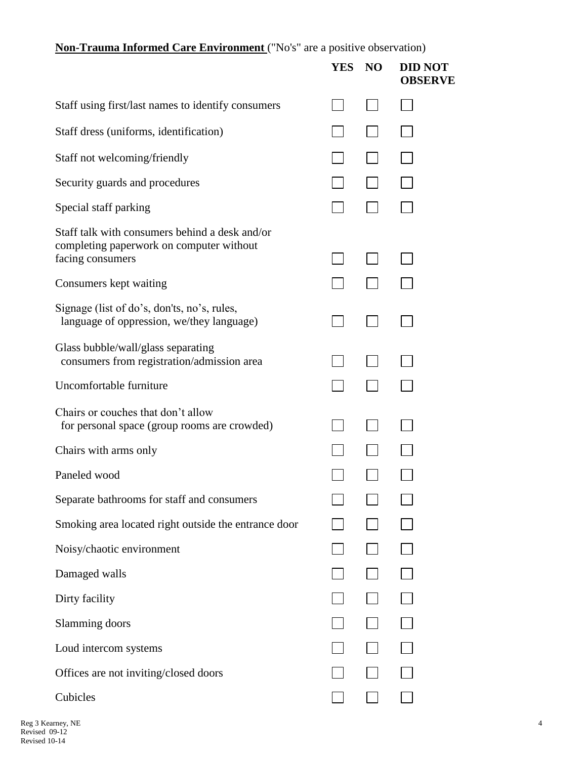**Non-Trauma Informed Care Environment** ("No's" are a positive observation)

|                                                                                                                | <b>YES</b> | N <sub>O</sub> | <b>DID NOT</b><br><b>OBSERVE</b> |
|----------------------------------------------------------------------------------------------------------------|------------|----------------|----------------------------------|
| Staff using first/last names to identify consumers                                                             |            |                |                                  |
| Staff dress (uniforms, identification)                                                                         |            |                |                                  |
| Staff not welcoming/friendly                                                                                   |            |                |                                  |
| Security guards and procedures                                                                                 |            |                |                                  |
| Special staff parking                                                                                          |            |                |                                  |
| Staff talk with consumers behind a desk and/or<br>completing paperwork on computer without<br>facing consumers |            |                |                                  |
| Consumers kept waiting                                                                                         |            |                |                                  |
| Signage (list of do's, don'ts, no's, rules,<br>language of oppression, we/they language)                       |            |                |                                  |
| Glass bubble/wall/glass separating<br>consumers from registration/admission area                               |            |                |                                  |
| Uncomfortable furniture                                                                                        |            |                |                                  |
| Chairs or couches that don't allow<br>for personal space (group rooms are crowded)                             |            |                |                                  |
| Chairs with arms only                                                                                          |            |                |                                  |
| Paneled wood                                                                                                   |            |                |                                  |
| Separate bathrooms for staff and consumers                                                                     |            |                |                                  |
| Smoking area located right outside the entrance door                                                           |            |                |                                  |
| Noisy/chaotic environment                                                                                      |            |                |                                  |
| Damaged walls                                                                                                  |            |                |                                  |
| Dirty facility                                                                                                 |            |                |                                  |
| Slamming doors                                                                                                 |            |                |                                  |
| Loud intercom systems                                                                                          |            |                |                                  |
| Offices are not inviting/closed doors                                                                          |            |                |                                  |
| Cubicles                                                                                                       |            |                |                                  |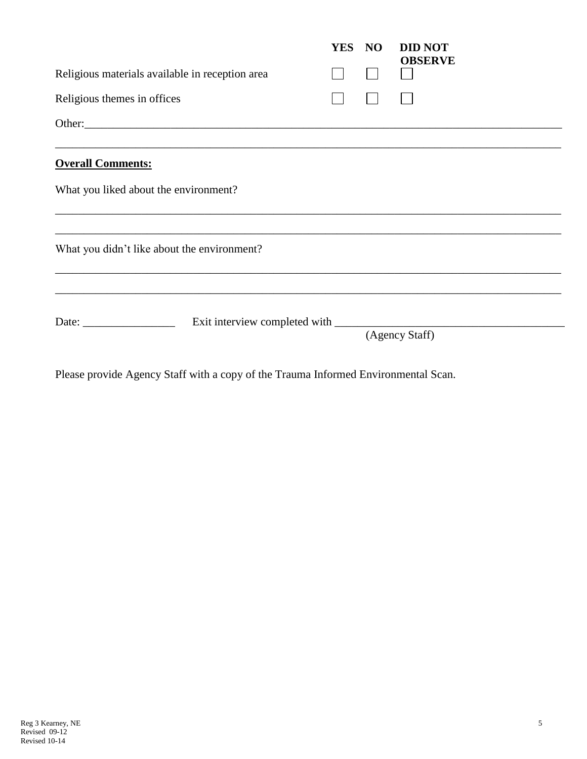|                                                                                                                                                                                                                                                                                                                                                                                                               |        | YES NO |  | <b>DID NOT</b> |  |  |  |
|---------------------------------------------------------------------------------------------------------------------------------------------------------------------------------------------------------------------------------------------------------------------------------------------------------------------------------------------------------------------------------------------------------------|--------|--------|--|----------------|--|--|--|
| Religious materials available in reception area                                                                                                                                                                                                                                                                                                                                                               |        |        |  | <b>OBSERVE</b> |  |  |  |
| Religious themes in offices                                                                                                                                                                                                                                                                                                                                                                                   |        |        |  |                |  |  |  |
|                                                                                                                                                                                                                                                                                                                                                                                                               | Other: |        |  |                |  |  |  |
| <b>Overall Comments:</b>                                                                                                                                                                                                                                                                                                                                                                                      |        |        |  |                |  |  |  |
| What you liked about the environment?                                                                                                                                                                                                                                                                                                                                                                         |        |        |  |                |  |  |  |
| What you didn't like about the environment?                                                                                                                                                                                                                                                                                                                                                                   |        |        |  |                |  |  |  |
| Date: $\frac{1}{\sqrt{1-\frac{1}{2}}\sqrt{1-\frac{1}{2}}\sqrt{1-\frac{1}{2}}\sqrt{1-\frac{1}{2}}\sqrt{1-\frac{1}{2}}\sqrt{1-\frac{1}{2}}\sqrt{1-\frac{1}{2}}\sqrt{1-\frac{1}{2}}\sqrt{1-\frac{1}{2}}\sqrt{1-\frac{1}{2}}\sqrt{1-\frac{1}{2}}\sqrt{1-\frac{1}{2}}\sqrt{1-\frac{1}{2}}\sqrt{1-\frac{1}{2}}\sqrt{1-\frac{1}{2}}\sqrt{1-\frac{1}{2}}\sqrt{1-\frac{1}{2}}\sqrt{1-\frac{1}{2}}\sqrt{1-\frac{1}{2}}$ |        |        |  |                |  |  |  |
|                                                                                                                                                                                                                                                                                                                                                                                                               |        |        |  | (Agency Staff) |  |  |  |

Please provide Agency Staff with a copy of the Trauma Informed Environmental Scan.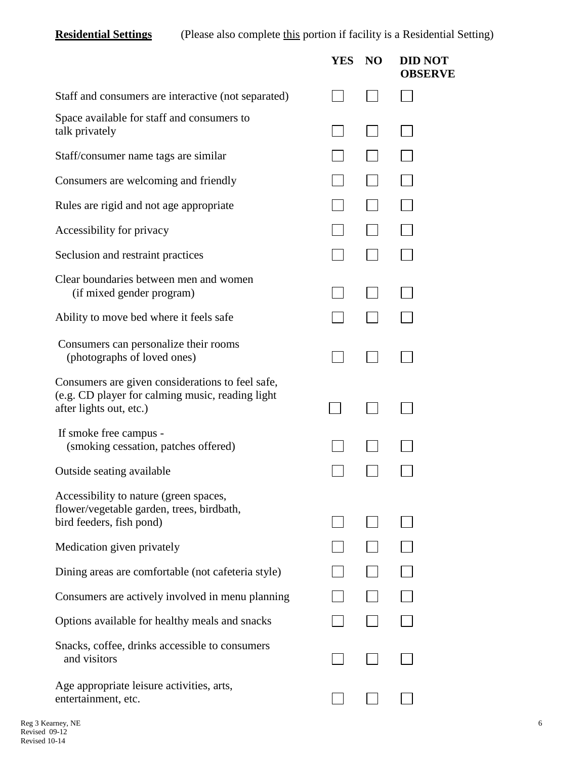**Residential Settings** (Please also complete this portion if facility is a Residential Setting)

|                                                                                                                                 | YES | N <sub>O</sub> | <b>DID NOT</b><br><b>OBSERVE</b> |
|---------------------------------------------------------------------------------------------------------------------------------|-----|----------------|----------------------------------|
| Staff and consumers are interactive (not separated)                                                                             |     |                |                                  |
| Space available for staff and consumers to<br>talk privately                                                                    |     |                |                                  |
| Staff/consumer name tags are similar                                                                                            |     |                |                                  |
| Consumers are welcoming and friendly                                                                                            |     |                |                                  |
| Rules are rigid and not age appropriate                                                                                         |     |                |                                  |
| Accessibility for privacy                                                                                                       |     |                |                                  |
| Seclusion and restraint practices                                                                                               |     |                |                                  |
| Clear boundaries between men and women<br>(if mixed gender program)                                                             |     |                |                                  |
| Ability to move bed where it feels safe                                                                                         |     |                |                                  |
| Consumers can personalize their rooms<br>(photographs of loved ones)                                                            |     |                |                                  |
| Consumers are given considerations to feel safe,<br>(e.g. CD player for calming music, reading light<br>after lights out, etc.) |     |                |                                  |
| If smoke free campus -<br>(smoking cessation, patches offered)                                                                  |     |                |                                  |
| Outside seating available                                                                                                       |     |                |                                  |
| Accessibility to nature (green spaces,<br>flower/vegetable garden, trees, birdbath,<br>bird feeders, fish pond)                 |     |                |                                  |
| Medication given privately                                                                                                      |     |                |                                  |
| Dining areas are comfortable (not cafeteria style)                                                                              |     |                |                                  |
| Consumers are actively involved in menu planning                                                                                |     |                |                                  |
| Options available for healthy meals and snacks                                                                                  |     |                |                                  |
| Snacks, coffee, drinks accessible to consumers<br>and visitors                                                                  |     |                |                                  |
| Age appropriate leisure activities, arts,<br>entertainment, etc.                                                                |     |                |                                  |